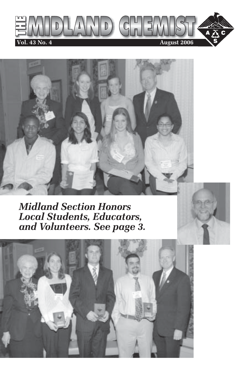



*Midland Section Honors Local Students, Educators, and Volunteers. See page 3.*

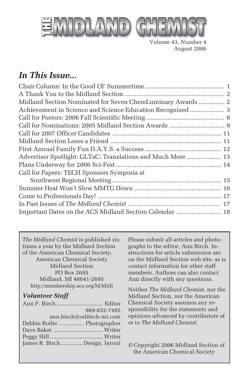

Volume 43, Number 4 August 2006

### *In This Issue...*

| Midland Section Nominated for Seven ChemLuminary Awards  2  |  |
|-------------------------------------------------------------|--|
|                                                             |  |
|                                                             |  |
|                                                             |  |
|                                                             |  |
|                                                             |  |
|                                                             |  |
| Advertiser Spotlight: GLTaC: Translations and Much More  13 |  |
|                                                             |  |
| Call for Papers: TECH Sponsors Symposia at                  |  |
|                                                             |  |
|                                                             |  |
|                                                             |  |
|                                                             |  |
| Important Dates on the ACS Midland Section Calendar  18     |  |

*The Midland Chemist* is published six times a year by the Midland Section of the American Chemical Society. American Chemical Society Midland Section PO Box 2695 Midland, MI 48641-2695 http://membership.acs.org/M/Midl

#### *Volunteer Staff*

| 989-832-7485                   |  |
|--------------------------------|--|
| ann.birch@editech-mi.com       |  |
| Debbie Rothe  Photographer     |  |
|                                |  |
|                                |  |
| James R. Birch  Design, layout |  |

Please submit all articles and photographs to the editor, Ann Birch. Instructions for article submission are on the Midland Section web site, as is contact information for other staff members. Authors can also contact Ann directly with any questions.

Neither *The Midland Chemist*, nor the Midland Section, nor the American Chemical Society assumes any responsibility for the statements and opinions advanced by contributors of or to *The Midland Chemist*.

© Copyright 2006 Midland Section of the American Chemical Society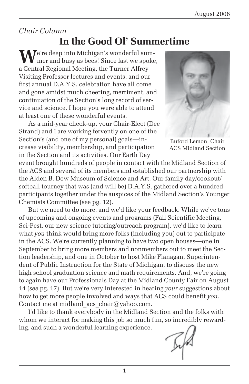### *Chair Column*

### **In the Good Ol' Summertime**

**M**<sup>e're deep into Michigan's wonderful sum-</sup> mer and busy as bees! Since last we spoke, a Central Regional Meeting, the Turner Alfrey Visiting Professor lectures and events, and our first annual D.A.Y.S. celebration have all come and gone amidst much cheering, merriment, and continuation of the Section's long record of service and science. I hope you were able to attend at least one of these wonderful events.

As a mid-year check-up, your Chair-Elect (Dee Strand) and I are working fervently on one of the Section's (and one of my personal) goals—increase visibility, membership, and participation in the Section and its activities. Our Earth Day



ACS Midland Section

event brought hundreds of people in contact with the Midland Section of the ACS and several of its members and established our partnership with the Alden B. Dow Museum of Science and Art. Our family day/cookout/ softball tourney that was (and will be) D.A.Y.S. gathered over a hundred participants together under the auspices of the Midland Section's Younger Chemists Committee (see pg. 12).

But we need to do more, and we'd like your feedback. While we've tons of upcoming and ongoing events and programs (Fall Scientific Meeting, Sci-Fest, our new science tutoring/outreach program), we'd like to learn what *you* think would bring more folks (including you) out to participate in the ACS. We're currently planning to have two open houses—one in September to bring more members and nonmembers out to meet the Section leadership, and one in October to host Mike Flanagan, Superintendent of Public Instruction for the State of Michigan, to discuss the new high school graduation science and math requirements. And, we're going to again have our Professionals Day at the Midland County Fair on August 14 (*see* pg. 17). But we're very interested in hearing *your* suggestions about how to get more people involved and ways that ACS could benefit *you.* Contact me at midland acs chair@yahoo.com.

I'd like to thank everybody in the Midland Section and the folks with whom we interact for making this job so much fun, so incredibly rewarding, and such a wonderful learning experience.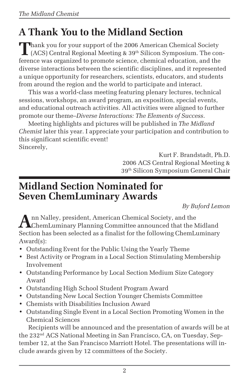## **A Thank You to the Midland Section**

**Thank you for your support of the 2006 American Chemical Society**  $\mathsf{L}$  (ACS) Central Regional Meeting & 39<sup>th</sup> Silicon Symposium. The conference was organized to promote science, chemical education, and the diverse interactions between the scientific disciplines, and it represented a unique opportunity for researchers, scientists, educators, and students from around the region and the world to participate and interact.

This was a world-class meeting featuring plenary lectures, technical sessions, workshops, an award program, an exposition, special events, and educational outreach activities. All activities were aligned to further promote our theme–*Diverse Interactions: The Elements of Success*.

Meeting highlights and pictures will be published in *The Midland Chemist* later this year. I appreciate your participation and contribution to this significant scientific event! Sincerely,

> Kurt F. Brandstadt, Ph.D. 2006 ACS Central Regional Meeting & 39th Silicon Symposium General Chair

### **Midland Section Nominated for Seven ChemLuminary Awards**

*By Buford Lemon*

**A**nn Nalley, president, American Chemical Society, and the **T A**ChemLuminary Planning Committee announced that the Midland Section has been selected as a finalist for the following ChemLuminary Award(s):

- Outstanding Event for the Public Using the Yearly Theme
- Best Activity or Program in a Local Section Stimulating Membership Involvement
- Outstanding Performance by Local Section Medium Size Category Award
- Outstanding High School Student Program Award
- Outstanding New Local Section Younger Chemists Committee
- Chemists with Disabilities Inclusion Award
- Outstanding Single Event in a Local Section Promoting Women in the Chemical Sciences

Recipients will be announced and the presentation of awards will be at the 232nd ACS National Meeting in San Francisco, CA, on Tuesday, September 12, at the San Francisco Marriott Hotel. The presentations will include awards given by 12 committees of the Society.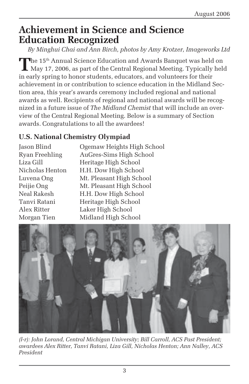### **Achievement in Science and Science Education Recognized**

*By Minghui Chai and Ann Birch, photos by Amy Krotzer, Imageworks Ltd*

The 15<sup>th</sup> Annual Science Education and Awards Banquet was held on May 17, 2006, as part of the Central Regional Meeting. Typically held in early spring to honor students, educators, and volunteers for their achievement in or contribution to science education in the Midland Section area, this year's awards ceremony included regional and national awards as well. Recipients of regional and national awards will be recognized in a future issue of *The Midland Chemist* that will include an overview of the Central Regional Meeting. Below is a summary of Section awards. Congratulations to all the awardees!

#### **U.S. National Chemistry Olympiad**

Jason Blind Ogemaw Heights High School Ryan Freehling AuGres-Sims High School Liza Gill Heritage High School Nicholas Henton H.H. Dow High School Luvena Ong Mt. Pleasant High School Peijie Ong Mt. Pleasant High School Neal Rakesh H.H. Dow High School Tanvi Ratani Heritage High School Alex Ritter Laker High School Morgan Tien Midland High School



*(l-r): John Lorand, Central Michigan University; Bill Carroll, ACS Past President; awardees Alex Ritter, Tanvi Ratani, Liza Gill, Nicholas Henton; Ann Nalley, ACS President*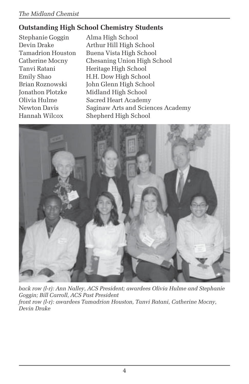#### *The Midland Chemist*

### **Outstanding High School Chemistry Students**

Stephanie Goggin Alma High School

Devin Drake Arthur Hill High School Tamadrion Houston Buena Vista High School Catherine Mocny Chesaning Union High School Tanvi Ratani **Heritage High School** Emily Shao H.H. Dow High School Brian Roznowski John Glenn High School Jonathon Plotzke Midland High School Olivia Hulme Sacred Heart Academy Newton Davis Saginaw Arts and Sciences Academy Hannah Wilcox Shepherd High School



*back row (l-r): Ann Nalley, ACS President; awardees Olivia Hulme and Stephanie Goggin; Bill Carroll, ACS Past President front row (l-r): awardees Tamadrion Houston, Tanvi Ratani, Catherine Mocny, Devin Drake*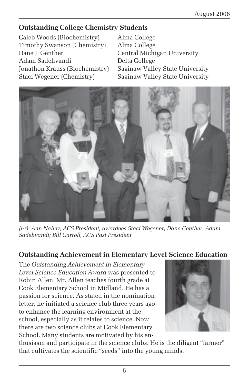#### **Outstanding College Chemistry Students**

Caleb Woods (Biochemistry) Alma College Timothy Swanson (Chemistry) Alma College Dane J. Genther Central Michigan University Adam Sadehvandi Delta College Jonathon Krauss (Biochemistry) Saginaw Valley State University Staci Wegener (Chemistry) Saginaw Valley State University



*(l-r): Ann Nalley, ACS President; awardees Staci Wegener, Dane Genther, Adam Sadehvandi; Bill Carroll, ACS Past President*

#### **Outstanding Achievement in Elementary Level Science Education**

The *Outstanding Achievement in Elementary Level Science Education Award* was presented to Robin Allen. Mr. Allen teaches fourth grade at Cook Elementary School in Midland. He has a passion for science. As stated in the nomination letter, he initiated a science club three years ago to enhance the learning environment at the school, especially as it relates to science. Now there are two science clubs at Cook Elementary School. Many students are motivated by his en-



thusiasm and participate in the science clubs. He is the diligent "farmer" that cultivates the scientific "seeds" into the young minds.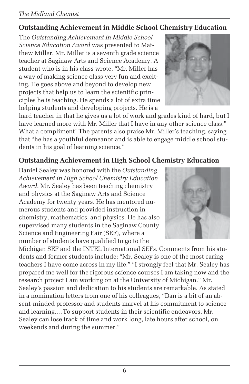#### *The Midland Chemist*

#### **Outstanding Achievement in Middle School Chemistry Education**

The *Outstanding Achievement in Middle School Science Education Award* was presented to Matthew Miller. Mr. Miller is a seventh grade science teacher at Saginaw Arts and Science Academy. A student who is in his class wrote, "Mr. Miller has a way of making science class very fun and exciting. He goes above and beyond to develop new projects that help us to learn the scientific principles he is teaching. He spends a lot of extra time helping students and developing projects. He is a

hard teacher in that he gives us a lot of work and grades kind of hard, but I have learned more with Mr. Miller that I have in any other science class." What a compliment! The parents also praise Mr. Miller's teaching, saying that "he has a youthful demeanor and is able to engage middle school students in his goal of learning science."

#### **Outstanding Achievement in High School Chemistry Education**

Daniel Sealey was honored with the *Outstanding Achievement in High School Chemistry Education Award*. Mr. Sealey has been teaching chemistry and physics at the Saginaw Arts and Science Academy for twenty years. He has mentored numerous students and provided instruction in chemistry, mathematics, and physics. He has also supervised many students in the Saginaw County Science and Engineering Fair (SEF), where a number of students have qualified to go to the

Michigan SEF and the INTEL International SEFs. Comments from his students and former students include: "Mr. Sealey is one of the most caring teachers I have come across in my life." "I strongly feel that Mr. Sealey has prepared me well for the rigorous science courses I am taking now and the research project I am working on at the University of Michigan." Mr. Sealey's passion and dedication to his students are remarkable. As stated in a nomination letters from one of his colleagues, "Dan is a bit of an absent-minded professor and students marvel at his commitment to science and learning….To support students in their scientific endeavors, Mr. Sealey can lose track of time and work long, late hours after school, on weekends and during the summer."



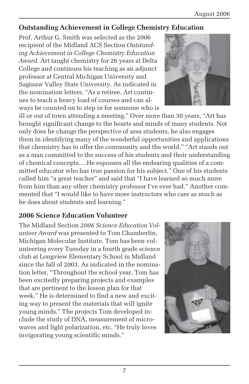#### **Outstanding Achievement in College Chemistry Education**

Prof. Arthur G. Smith was selected as the 2006 recipient of the Midland ACS Section *Outstanding Achievement in College Chemistry Education Award*. Art taught chemistry for 26 years at Delta College and continues his teaching as an adjunct professor at Central Michigan University and Saginaw Valley State University. As indicated in the nomination letters, "As a retiree, Art continues to teach a heavy load of courses and can always be counted on to step in for someone who is

ill or out of town attending a meeting." Over more than 30 years, "Art has brought significant change to the hearts and minds of many students. Not only does he change the perspective of area students, he also engages them in identifying many of the wonderful opportunities and applications that chemistry has to offer the community and the world." "Art stands out as a man committed to the success of his students and their understanding of chemical concepts….He espouses all the endearing qualities of a committed educator who has true passion for his subject." One of his students called him "a great teacher" and said that "I have learned so much more from him than any other chemistry professor I've ever had." Another commented that "I would like to have more instructors who care as much as he does about students and learning."

#### **2006 Science Education Volunteer**

The Midland Section *2006 Science Education Volunteer Award* was presented to Tom Chamberlin, Michigan Molecular Institute. Tom has been volunteering every Tuesday in a fourth grade science club at Longview Elementary School in Midland since the fall of 2003. As indicated in the nomination letter, "Throughout the school year, Tom has been excitedly preparing projects and examples that are pertinent to the lesson plan for that week." He is determined to find a new and exciting way to present the materials that will ignite young minds." The projects Tom developed include the study of DNA, measurement of microwaves and light polarization, etc. "He truly loves invigorating young scientific minds."



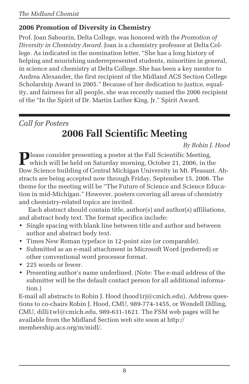#### **2006 Promotion of Diversity in Chemistry**

Prof. Joan Sabourin, Delta College, was honored with the *Promotion of Diversity in Chemistry Award.* Joan is a chemistry professor at Delta College. As indicated in the nomination letter, "She has a long history of helping and nourishing underrepresented students, minorities in general, in science and chemistry at Delta College. She has been a key mentor to Andrea Alexander, the first recipient of the Midland ACS Section College Scholarship Award in 2005." Because of her dedication to justice, equality, and fairness for all people, she was recently named the 2006 recipient of the "In the Spirit of Dr. Martin Luther King, Jr." Spirit Award.

*Call for Posters*

### **2006 Fall Scientific Meeting**

*By Robin J. Hood*

**P**lease consider presenting a poster at the Fall Scientific Meeting,<br>which will be held on Saturday morning, October 21, 2006, in the Dow Science building of Central Michigan University in Mt. Pleasant. Abstracts are being accepted now through Friday, September 15, 2006. The theme for the meeting will be "The Future of Science and Science Education in mid-Michigan." However, posters covering all areas of chemistry and chemistry-related topics are invited.

Each abstract should contain title, author(s) and author(s) affiliations, and abstract body text. The format specifics include:

- Single spacing with blank line between title and author and between author and abstract body text.
- Times New Roman typeface in 12-point size (or comparable).
- Submitted as an e-mail attachment in Microsoft Word (preferred) or other conventional word processor format.
- 225 words or fewer.
- Presenting author's name underlined. (Note: The e-mail address of the submitter will be the default contact person for all additional information.)

E-mail all abstracts to Robin J. Hood (hood1rj@cmich.edu). Address questions to co-chairs Robin J. Hood, CMU, 989-774-1455, or Wendell Dilling, CMU, dilli1wl@cmich.edu, 989-631-1621. The FSM web pages will be available from the Midland Section web site soon at http:// membership.acs.org/m/midl/.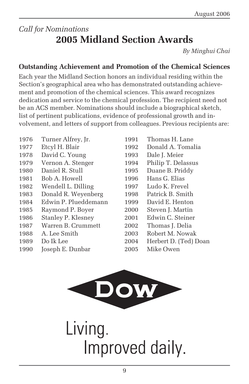### *Call for Nominations* **2005 Midland Section Awards**

*By Minghui Chai*

#### **Outstanding Achievement and Promotion of the Chemical Sciences**

Each year the Midland Section honors an individual residing within the Section's geographical area who has demonstrated outstanding achievement and promotion of the chemical sciences. This award recognizes dedication and service to the chemical profession. The recipient need not be an ACS member. Nominations should include a biographical sketch, list of pertinent publications, evidence of professional growth and involvement, and letters of support from colleagues. Previous recipients are:

- 1976 Turner Alfrey, Jr. 1991 Thomas H. Lane
- 
- 1978 David C. Young 1993 Dale J. Meier
- 
- 
- 1981 Bob A. Howell 1996 Hans G. Elias
- 1982 Wendell L. Dilling 1997 Ludo K. Frevel
- 1983 Donald R. Weyenberg 1998 Patrick B. Smith
- 1984 Edwin P. Plueddemann 1999 David E. Henton
- 1985 Raymond P. Boyer 2000 Steven J. Martin
- 1986 Stanley P. Klesney 2001 Edwin C. Steiner
- 1987 Warren B. Crummett 2002 Thomas J. Delia
- 
- 
- 1990 Joseph E. Dunbar 2005 Mike Owen
- 1977 Etcyl H. Blair 1992 Donald A. Tomalia 1979 Vernon A. Stenger 1994 Philip T. Delassus 1980 Daniel R. Stull 1995 Duane B. Priddy 1988 A. Lee Smith 2003 Robert M. Nowak 1989 Do Ik Lee 2004 Herbert D. (Ted) Doan



# Living. Improved daily.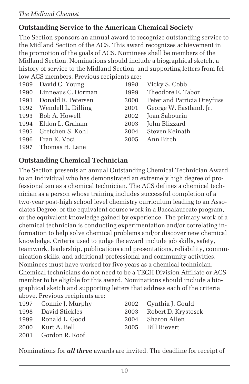#### **Outstanding Service to the American Chemical Society**

The Section sponsors an annual award to recognize outstanding service to the Midland Section of the ACS. This award recognizes achievement in the promotion of the goals of ACS. Nominees shall be members of the Midland Section. Nominations should include a biographical sketch, a history of service to the Midland Section, and supporting letters from fellow ACS members. Previous recipients are:

| 1989 David C. Young     | 1998 | Vicky S. Cobb               |
|-------------------------|------|-----------------------------|
| 1990 Linneaus C. Dorman | 1999 | Theodore E. Tabor           |
| 1991 Donald R. Petersen | 2000 | Peter and Patricia Dreyfuss |
| 1992 Wendell L. Dilling | 2001 | George W. Eastland, Jr.     |
| 1993 Bob A. Howell      | 2002 | Joan Sabourin               |
| 1994 Eldon L. Graham    | 2003 | John Blizzard               |
| 1995 Gretchen S. Kohl   | 2004 | Steven Keinath              |
| 1996 Fran K. Voci       | 2005 | Ann Birch                   |
| 1997 Thomas H. Lane     |      |                             |
|                         |      |                             |

#### **Outstanding Chemical Technician**

The Section presents an annual Outstanding Chemical Technician Award to an individual who has demonstrated an extremely high degree of professionalism as a chemical technician. The ACS defines a chemical technician as a person whose training includes successful completion of a two-year post-high school level chemistry curriculum leading to an Associates Degree, or the equivalent course work in a Baccalaureate program, or the equivalent knowledge gained by experience. The primary work of a chemical technician is conducting experimentation and/or correlating information to help solve chemical problems and/or discover new chemical knowledge. Criteria used to judge the award include job skills, safety, teamwork, leadership, publications and presentations, reliability, communication skills, and additional professional and community activities. Nominees must have worked for five years as a chemical technician. Chemical technicians do not need to be a TECH Division Affiliate or ACS member to be eligible for this award. Nominations should include a biographical sketch and supporting letters that address each of the criteria above. Previous recipients are:

| 1997 Connie J. Murphy | 2002 Cynthia J. Gould    |
|-----------------------|--------------------------|
| 1998 David Stickles   | 2003 Robert D. Krystosek |
| 1999 Ronald L. Good   | 2004 Sharon Allen        |
| 2000 Kurt A. Bell     | 2005 Bill Rievert        |
| 2001 Gordon R. Roof   |                          |
|                       |                          |

Nominations for *all three* awards are invited. The deadline for receipt of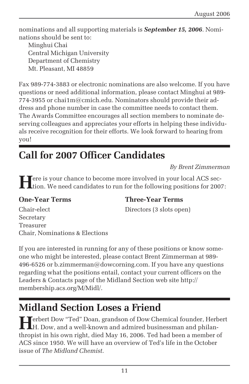nominations and all supporting materials is *September 15, 2006*. Nominations should be sent to:

Minghui Chai Central Michigan University Department of Chemistry Mt. Pleasant, MI 48859

Fax 989-774-3883 or electronic nominations are also welcome. If you have questions or need additional information, please contact Minghui at 989- 774-3955 or chai1m@cmich.edu. Nominators should provide their address and phone number in case the committee needs to contact them. The Awards Committee encourages all section members to nominate deserving colleagues and appreciates your efforts in helping these individuals receive recognition for their efforts. We look forward to hearing from you!

### **Call for 2007 Officer Candidates**

*By Brent Zimmerman*

**H**ere is your chance to become more involved in your local ACS section. We need candidates to run for the following positions for 2007:

#### **One-Year Terms Three-Year Terms**

Chair-elect Directors (3 slots open) Secretary Treasurer Chair, Nominations & Elections

If you are interested in running for any of these positions or know someone who might be interested, please contact Brent Zimmerman at 989- 496-6526 or b.zimmerman@dowcorning.com. If you have any questions regarding what the positions entail, contact your current officers on the Leaders & Contacts page of the Midland Section web site http:// membership.acs.org/M/Midl/.

### **Midland Section Loses a Friend**

**Herbert Dow "Ted" Doan, grandson of Dow Chemical founder, Herbert Herbert Dow and a small l** H. Dow, and a well-known and admired businessman and philanthropist in his own right, died May 16, 2006. Ted had been a member of ACS since 1950. We will have an overview of Ted's life in the October issue of *The Midland Chemist*.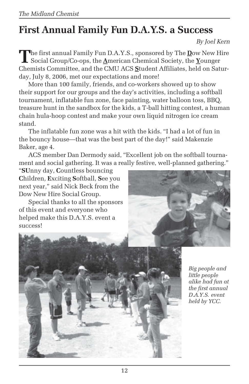### **First Annual Family Fun D.A.Y.S. a Success**

#### *By Joel Kern*

**T**he first annual Family Fun D.A.Y.S., sponsored by The **D**ow New Hire Social Group/Co-ops, the **A**merican Chemical Society, the **Y**ounger Chemists Committee, and the CMU ACS **S**tudent Affiliates, held on Saturday, July 8, 2006, met our expectations and more!

More than 100 family, friends, and co-workers showed up to show their support for our groups and the day's activities, including a softball tournament, inflatable fun zone, face painting, water balloon toss, BBQ, treasure hunt in the sandbox for the kids, a T-ball hitting contest, a human chain hula-hoop contest and make your own liquid nitrogen ice cream stand.

The inflatable fun zone was a hit with the kids. "I had a lot of fun in the bouncy house—that was the best part of the day!" said Makenzie Baker, age 4.

ACS member Dan Dermody said, "Excellent job on the softball tournament and social gathering. It was a really festive, well-planned gathering."

"**SU**nny day, **C**ountless bouncing **C**hildren, **E**xciting **S**oftball, **S**ee you next year," said Nick Beck from the Dow New Hire Social Group.

Special thanks to all the sponsors of this event and everyone who helped make this D.A.Y.S. event a success!





*Big people and little people alike had fun at the first annual D.A.Y.S. event held by YCC.*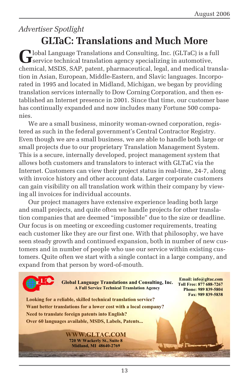### *Advertiser Spotlight* **GLTaC: Translations and Much More**

**G**lobal Language Translations and Consulting, Inc. (GLTaC) is a full  $\mathbf J$  service technical translation agency specializing in automotive, chemical, MSDS, SAP, patent, pharmaceutical, legal, and medical translation in Asian, European, Middle-Eastern, and Slavic languages. Incorporated in 1995 and located in Midland, Michigan, we began by providing translation services internally to Dow Corning Corporation, and then established an Internet presence in 2001. Since that time, our customer base has continually expanded and now includes many Fortune 500 companies.

We are a small business, minority woman-owned corporation, registered as such in the federal government's Central Contractor Registry. Even though we are a small business, we are able to handle both large or small projects due to our proprietary Translation Management System. This is a secure, internally developed, project management system that allows both customers and translators to interact with GLTaC via the Internet. Customers can view their project status in real-time, 24-7, along with invoice history and other account data. Larger corporate customers can gain visibility on all translation work within their company by viewing all invoices for individual accounts.

Our project managers have extensive experience leading both large and small projects, and quite often we handle projects for other translation companies that are deemed "impossible" due to the size or deadline. Our focus is on meeting or exceeding customer requirements, treating each customer like they are our first one. With that philosophy, we have seen steady growth and continued expansion, both in number of new customers and in number of people who use our service within existing customers. Quite often we start with a single contact in a large company, and expand from that person by word-of-mouth.

> **Global Language Translations and Consulting, Inc. A Full Service Technical Translation Agency**

**Email: info@gltac.com Toll Free: 877 688-7267 Phone: 989 839-5804 Fax: 989 839-5838** 

**Looking for a reliable, skilled technical translation service? Want better translations for a lower cost with a local company? Need to translate foreign patents into English? Over 60 languages available, MSDS, Labels, Patents...** 

> **WWW.GLTAC.COM 720 W Wackerly St., Suite 8 Midland, MI 48640-2769**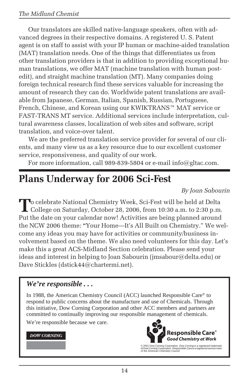Our translators are skilled native-language speakers, often with advanced degrees in their respective domains. A registered U. S. Patent agent is on staff to assist with your IP human or machine-aided translation (MAT) translation needs. One of the things that differentiates us from other translation providers is that in addition to providing exceptional human translations, we offer MAT (machine translation with human postedit), and straight machine translation (MT). Many companies doing foreign technical research find these services valuable for increasing the amount of research they can do. Worldwide patent translations are available from Japanese, German, Italian, Spanish, Russian, Portuguese, French, Chinese, and Korean using our KWIKTRANS™ MAT service or FAST-TRANS MT service. Additional services include interpretation, cultural awareness classes, localization of web sites and software, script translation, and voice-over talent.

We are the preferred translation service provider for several of our clients, and many view us as a key resource due to our excellent customer service, responsiveness, and quality of our work.

For more information, call 989-839-5804 or e-mail info@gltac.com.

### **Plans Underway for 2006 Sci-Fest**

*By Joan Sabourin*

To celebrate National Chemistry Week, Sci-Fest will be held at Delta<br>College on Saturday, October 28, 2006, from 10:30 a.m. to 2:30 p.m. Put the date on your calendar now! Activities are being planned around the NCW 2006 theme: **"**Your Home—It's All Built on Chemistry." We welcome any ideas you may have for activities or community/business involvement based on the theme. We also need volunteers for this day. Let's make this a great ACS-Midland Section celebration. Please send your ideas and interest in helping to Joan Sabourin (jmsabour@delta.edu) or Dave Stickles (dstick44@chartermi.net).

#### *We're responsible . . .*

In 1988, the American Chemistry Council (ACC) launched Responsible Care® to respond to public concerns about the manufacture and use of Chemicals. Through this initiative, Dow Corning Corporation and other ACC members and partners are committed to continually improving our responsible management of chemicals.

We're responsible because we care.

#### **DOW CORNING**



© 2001 Dow Corning Corporation. *Dow Corning* is a registered trademark<br>of Dow Corning Corporation. *Responsible Care* is a registered service mark<br>of the American Chemistry Council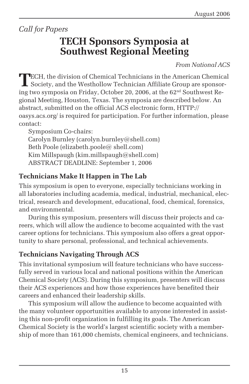*Call for Papers*

### **TECH Sponsors Symposia at Southwest Regional Meeting**

*From National ACS*

**T**ECH, the division of Chemical Technicians in the American Chemical Society, and the Westhollow Technician Affiliate Group are sponsoring two symposia on Friday, October 20, 2006, at the  $62<sup>nd</sup>$  Southwest Regional Meeting, Houston, Texas. The symposia are described below. An abstract, submitted on the official ACS electronic form, HTTP:// oasys.acs.org/ is required for participation. For further information, please contact:

Symposium Co-chairs: Carolyn Burnley (carolyn.burnley@shell.com) Beth Poole (elizabeth.poole@ shell.com) Kim Millspaugh (kim.millspaugh@shell.com) ABSTRACT DEADLINE: September 1, 2006

#### **Technicians Make It Happen in The Lab**

This symposium is open to everyone, especially technicians working in all laboratories including academia, medical, industrial, mechanical, electrical, research and development, educational, food, chemical, forensics, and environmental.

During this symposium, presenters will discuss their projects and careers, which will allow the audience to become acquainted with the vast career options for technicians. This symposium also offers a great opportunity to share personal, professional, and technical achievements.

#### **Technicians Navigating Through ACS**

This invitational symposium will feature technicians who have successfully served in various local and national positions within the American Chemical Society (ACS). During this symposium, presenters will discuss their ACS experiences and how those experiences have benefited their careers and enhanced their leadership skills.

This symposium will allow the audience to become acquainted with the many volunteer opportunities available to anyone interested in assisting this non-profit organization in fulfilling its goals. The American Chemical Society is the world's largest scientific society with a membership of more than 161,000 chemists, chemical engineers, and technicians.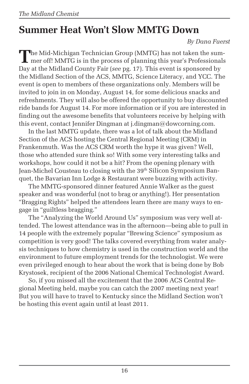### **Summer Heat Won't Slow MMTG Down**

*By Dana Fuerst*

**T**he Mid-Michigan Technician Group (MMTG) has not taken the sum-I mer off! MMTG is in the process of planning this year's Professionals Day at the Midland County Fair (*see* pg. 17). This event is sponsored by the Midland Section of the ACS, MMTG, Science Literacy, and YCC. The event is open to members of these organizations only. Members will be invited to join in on Monday, August 14, for some delicious snacks and refreshments. They will also be offered the opportunity to buy discounted ride bands for August 14. For more information or if you are interested in finding out the awesome benefits that volunteers receive by helping with this event, contact Jennifer Dingman at j.dingman@dowcorning.com.

In the last MMTG update, there was a lot of talk about the Midland Section of the ACS hosting the Central Regional Meeting (CRM) in Frankenmuth. Was the ACS CRM worth the hype it was given? Well, those who attended sure think so! With some very interesting talks and workshops, how could it not be a hit? From the opening plenary with Jean-Michel Cousteau to closing with the 39<sup>th</sup> Silicon Symposium Banquet, the Bavarian Inn Lodge & Restaurant were buzzing with activity.

The MMTG-sponsored dinner featured Annie Walker as the guest speaker and was wonderful (not to brag or anything!). Her presentation "Bragging Rights" helped the attendees learn there are many ways to engage in "guiltless bragging."

The "Analyzing the World Around Us" symposium was very well attended. The lowest attendance was in the afternoon—being able to pull in 14 people with the extremely popular "Brewing Science" symposium as competition is very good! The talks covered everything from water analysis techniques to how chemistry is used in the construction world and the environment to future employment trends for the technologist. We were even privileged enough to hear about the work that is being done by Bob Krystosek, recipient of the 2006 National Chemical Technologist Award.

So, if you missed all the excitement that the 2006 ACS Central Regional Meeting held, maybe you can catch the 2007 meeting next year! But you will have to travel to Kentucky since the Midland Section won't be hosting this event again until at least 2011.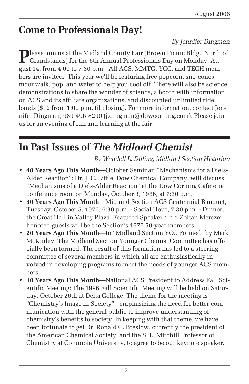### **Come to Professionals Day!**

#### *By Jennifer Dingman*

**Please join us at the Midland County Fair (Brown Picnic Bldg., North of** Grandstands) for the 6th Annual Professionals Day on Monday, August 14, from 4:00 to 7:30 p.m.! All ACS, MMTG, YCC, and TECH members are invited. This year we'll be featuring free popcorn, sno-cones, moonwalk, pop, and water to help you cool off. There will also be science demonstrations to share the wonder of science, a booth with information on ACS and its affiliate organizations, and discounted unlimited ride bands (\$12 from 1:00 p.m. til closing). For more information, contact Jennifer Dingman, 989-496-8290 (j.dingman@dowcorning.com). Please join us for an evening of fun and learning at the fair!

### **In Past Issues of** *The Midland Chemist*

*By Wendell L. Dilling, Midland Section Historian*

- **40 Years Ago This Month**—October Seminar, "Mechanisms for a Diels-Alder Reaction": Dr. J. C. Little, Dow Chemical Company, will discuss "Mechanisms of a Diels-Alder Reaction" at the Dow Corning Cafeteria conference room on Monday, October 3, 1966, at 7:30 p.m.
- **30 Years Ago This Month**—Midland Section ACS Centennial Banquet, Tuesday, October 5, 1976, 6:30 p.m. - Social Hour, 7:30 p.m. - Dinner, the Great Hall in Valley Plaza, Featured Speaker \* \* \* Zoltan Merszei; honored guests will be the Section's 1976 50-year members.
- **20 Years Ago This Month**—In "Midland Section YCC Formed" by Mark McKinley: The Midland Section Younger Chemist Committee has officially been formed. The result of this formation has led to a steering committee of several members in which all are enthusiastically involved in developing programs to meet the needs of younger ACS members.
- **10 Years Ago This Month**—National ACS President to Address Fall Scientific Meeting: The 1996 Fall Scientific Meeting will be held on Saturday, October 26th at Delta College. The theme for the meeting is "Chemistry's Image in Society" - emphasizing the need for better communication with the general public to improve understanding of chemistry's benefits to society. In keeping with that theme, we have been fortunate to get Dr. Ronald C. Breslow, currently the president of the American Chemical Society, and the S. L. Mitchill Professor of Chemistry at Columbia University, to agree to be our keynote speaker.